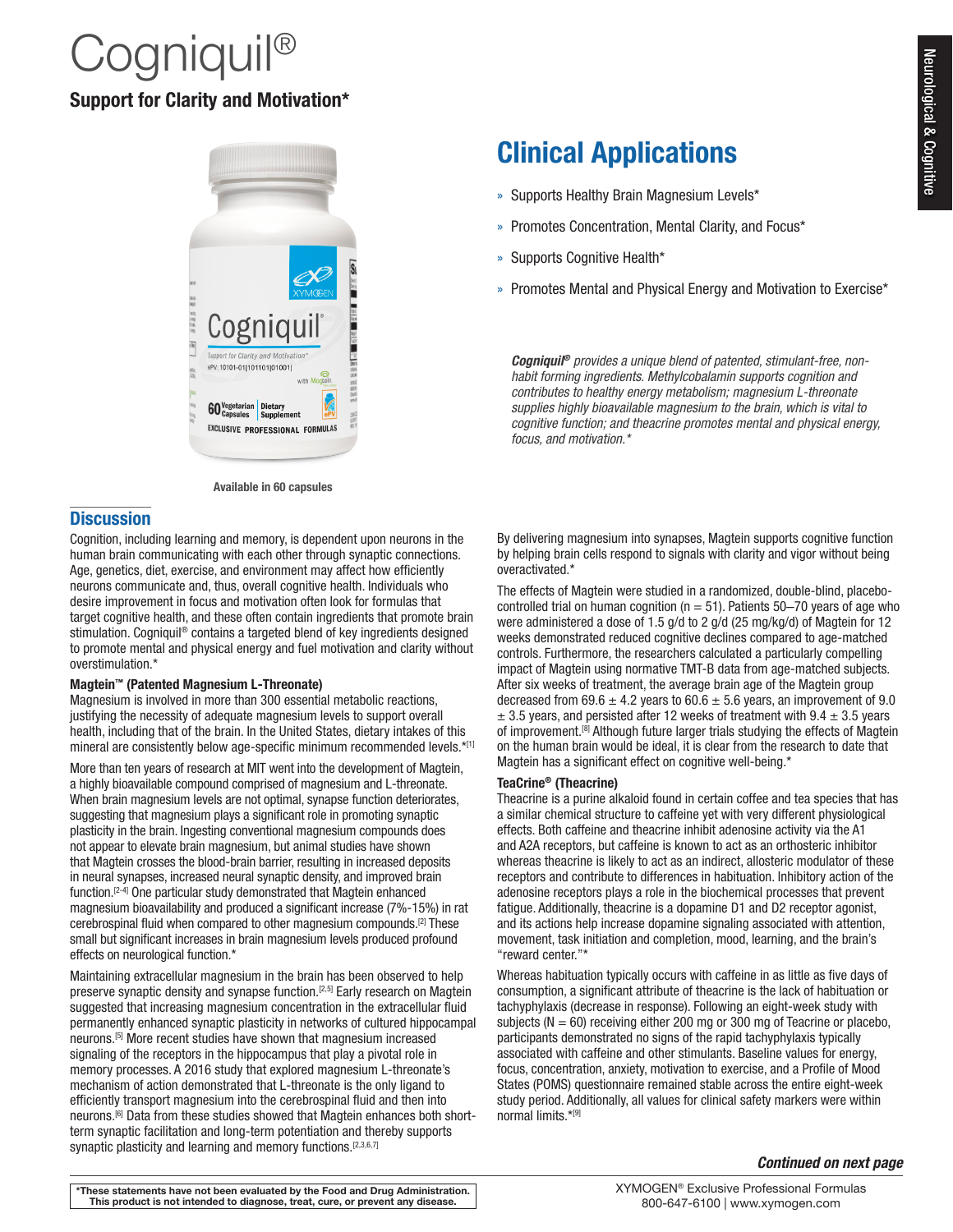# Neurological & Cognitive Neurological & Cognitive

# $\mathcal C$ ogniquil $^\circledR$ Support for Clarity and Motivation\*



Available in 60 capsules

## **Discussion**

Cognition, including learning and memory, is dependent upon neurons in the human brain communicating with each other through synaptic connections. Age, genetics, diet, exercise, and environment may affect how efficiently neurons communicate and, thus, overall cognitive health. Individuals who desire improvement in focus and motivation often look for formulas that target cognitive health, and these often contain ingredients that promote brain stimulation. Cogniquil® contains a targeted blend of key ingredients designed to promote mental and physical energy and fuel motivation and clarity without overstimulation.\*

#### Magtein™ (Patented Magnesium L-Threonate)

Magnesium is involved in more than 300 essential metabolic reactions, justifying the necessity of adequate magnesium levels to support overall health, including that of the brain. In the United States, dietary intakes of this mineral are consistently below age-specific minimum recommended levels.\*[1]

More than ten years of research at MIT went into the development of Magtein, a highly bioavailable compound comprised of magnesium and L-threonate. When brain magnesium levels are not optimal, synapse function deteriorates, suggesting that magnesium plays a significant role in promoting synaptic plasticity in the brain. Ingesting conventional magnesium compounds does not appear to elevate brain magnesium, but animal studies have shown that Magtein crosses the blood-brain barrier, resulting in increased deposits in neural synapses, increased neural synaptic density, and improved brain function.[2-4] One particular study demonstrated that Magtein enhanced magnesium bioavailability and produced a significant increase (7%-15%) in rat cerebrospinal fluid when compared to other magnesium compounds.[2] These small but significant increases in brain magnesium levels produced profound effects on neurological function.\*

Maintaining extracellular magnesium in the brain has been observed to help preserve synaptic density and synapse function.<sup>[2,5]</sup> Early research on Magtein suggested that increasing magnesium concentration in the extracellular fluid permanently enhanced synaptic plasticity in networks of cultured hippocampal neurons.[5] More recent studies have shown that magnesium increased signaling of the receptors in the hippocampus that play a pivotal role in memory processes. A 2016 study that explored magnesium L-threonate's mechanism of action demonstrated that L-threonate is the only ligand to efficiently transport magnesium into the cerebrospinal fluid and then into neurons.[6] Data from these studies showed that Magtein enhances both shortterm synaptic facilitation and long-term potentiation and thereby supports synaptic plasticity and learning and memory functions.<sup>[2,3,6,7]</sup>

## Clinical Applications

- » Supports Healthy Brain Magnesium Levels\*
- » Promotes Concentration, Mental Clarity, and Focus\*
- » Supports Cognitive Health\*
- » Promotes Mental and Physical Energy and Motivation to Exercise\*

*Cogniquil® provides a unique blend of patented, stimulant-free, nonhabit forming ingredients. Methylcobalamin supports cognition and contributes to healthy energy metabolism; magnesium L-threonate supplies highly bioavailable magnesium to the brain, which is vital to cognitive function; and theacrine promotes mental and physical energy, focus, and motivation.\**

By delivering magnesium into synapses, Magtein supports cognitive function by helping brain cells respond to signals with clarity and vigor without being overactivated.\*

The effects of Magtein were studied in a randomized, double-blind, placebocontrolled trial on human cognition ( $n = 51$ ). Patients 50-70 years of age who were administered a dose of 1.5 g/d to 2 g/d (25 mg/kg/d) of Magtein for 12 weeks demonstrated reduced cognitive declines compared to age-matched controls. Furthermore, the researchers calculated a particularly compelling impact of Magtein using normative TMT-B data from age-matched subjects. After six weeks of treatment, the average brain age of the Magtein group decreased from  $69.6 \pm 4.2$  years to  $60.6 \pm 5.6$  years, an improvement of 9.0  $\pm$  3.5 years, and persisted after 12 weeks of treatment with 9.4  $\pm$  3.5 years of improvement.[8] Although future larger trials studying the effects of Magtein on the human brain would be ideal, it is clear from the research to date that Magtein has a significant effect on cognitive well-being.\*

#### TeaCrine® (Theacrine)

Theacrine is a purine alkaloid found in certain coffee and tea species that has a similar chemical structure to caffeine yet with very different physiological effects. Both caffeine and theacrine inhibit adenosine activity via the A1 and A2A receptors, but caffeine is known to act as an orthosteric inhibitor whereas theacrine is likely to act as an indirect, allosteric modulator of these receptors and contribute to differences in habituation. Inhibitory action of the adenosine receptors plays a role in the biochemical processes that prevent fatigue. Additionally, theacrine is a dopamine D1 and D2 receptor agonist, and its actions help increase dopamine signaling associated with attention, movement, task initiation and completion, mood, learning, and the brain's "reward center."\*

Whereas habituation typically occurs with caffeine in as little as five days of consumption, a significant attribute of theacrine is the lack of habituation or tachyphylaxis (decrease in response). Following an eight-week study with subjects ( $N = 60$ ) receiving either 200 mg or 300 mg of Teacrine or placebo, participants demonstrated no signs of the rapid tachyphylaxis typically associated with caffeine and other stimulants. Baseline values for energy, focus, concentration, anxiety, motivation to exercise, and a Profile of Mood States (POMS) questionnaire remained stable across the entire eight-week study period. Additionally, all values for clinical safety markers were within normal limits.\*[9]

#### *Continued on next page*